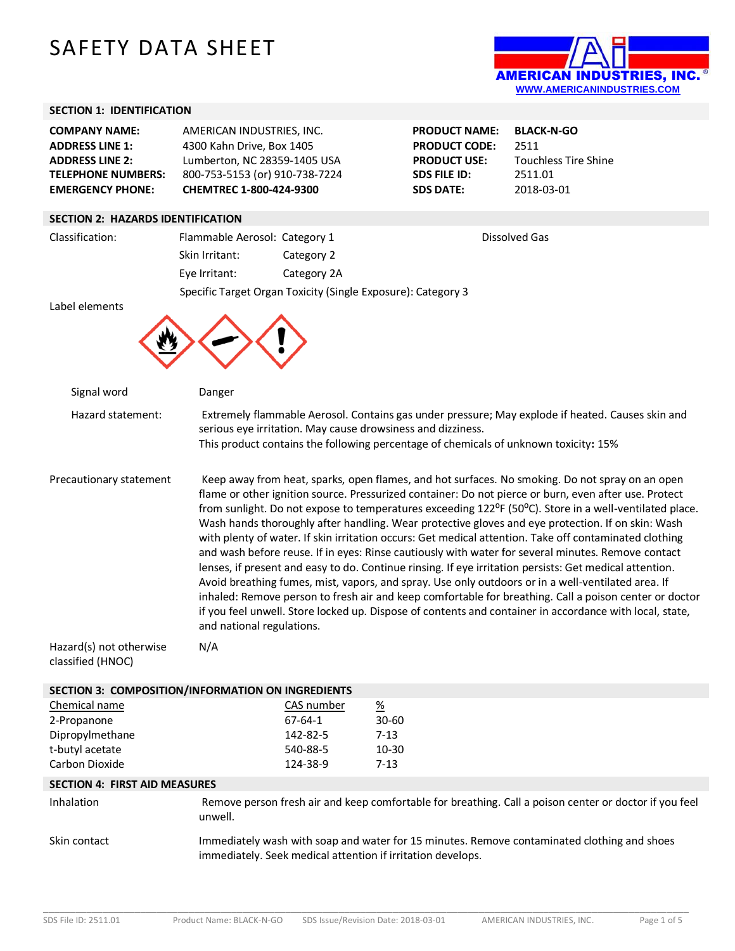# SAFETY DATA SHEET



| <b>SECTION 1: IDENTIFICATION</b>                                                                                                 |                                                                                                                                                                                                                                                                                                                                                                                                                                                                                                                                                                                                                                                                                                                                                                                                                                                                                                                                                                                                                                                                                                            |                           |                                                                                                                |                                                                                                        |
|----------------------------------------------------------------------------------------------------------------------------------|------------------------------------------------------------------------------------------------------------------------------------------------------------------------------------------------------------------------------------------------------------------------------------------------------------------------------------------------------------------------------------------------------------------------------------------------------------------------------------------------------------------------------------------------------------------------------------------------------------------------------------------------------------------------------------------------------------------------------------------------------------------------------------------------------------------------------------------------------------------------------------------------------------------------------------------------------------------------------------------------------------------------------------------------------------------------------------------------------------|---------------------------|----------------------------------------------------------------------------------------------------------------|--------------------------------------------------------------------------------------------------------|
| <b>COMPANY NAME:</b><br><b>ADDRESS LINE 1:</b><br><b>ADDRESS LINE 2:</b><br><b>TELEPHONE NUMBERS:</b><br><b>EMERGENCY PHONE:</b> | AMERICAN INDUSTRIES, INC.<br>4300 Kahn Drive, Box 1405<br>Lumberton, NC 28359-1405 USA<br>800-753-5153 (or) 910-738-7224<br>CHEMTREC 1-800-424-9300                                                                                                                                                                                                                                                                                                                                                                                                                                                                                                                                                                                                                                                                                                                                                                                                                                                                                                                                                        |                           | <b>PRODUCT NAME:</b><br><b>PRODUCT CODE:</b><br><b>PRODUCT USE:</b><br><b>SDS FILE ID:</b><br><b>SDS DATE:</b> | <b>BLACK-N-GO</b><br>2511<br><b>Touchless Tire Shine</b><br>2511.01<br>2018-03-01                      |
| <b>SECTION 2: HAZARDS IDENTIFICATION</b>                                                                                         |                                                                                                                                                                                                                                                                                                                                                                                                                                                                                                                                                                                                                                                                                                                                                                                                                                                                                                                                                                                                                                                                                                            |                           |                                                                                                                |                                                                                                        |
| Classification:                                                                                                                  | Flammable Aerosol: Category 1                                                                                                                                                                                                                                                                                                                                                                                                                                                                                                                                                                                                                                                                                                                                                                                                                                                                                                                                                                                                                                                                              |                           |                                                                                                                | <b>Dissolved Gas</b>                                                                                   |
|                                                                                                                                  | Skin Irritant:                                                                                                                                                                                                                                                                                                                                                                                                                                                                                                                                                                                                                                                                                                                                                                                                                                                                                                                                                                                                                                                                                             | Category 2                |                                                                                                                |                                                                                                        |
|                                                                                                                                  | Eye Irritant:                                                                                                                                                                                                                                                                                                                                                                                                                                                                                                                                                                                                                                                                                                                                                                                                                                                                                                                                                                                                                                                                                              | Category 2A               |                                                                                                                |                                                                                                        |
| Label elements                                                                                                                   | Specific Target Organ Toxicity (Single Exposure): Category 3                                                                                                                                                                                                                                                                                                                                                                                                                                                                                                                                                                                                                                                                                                                                                                                                                                                                                                                                                                                                                                               |                           |                                                                                                                |                                                                                                        |
| Signal word                                                                                                                      | Danger                                                                                                                                                                                                                                                                                                                                                                                                                                                                                                                                                                                                                                                                                                                                                                                                                                                                                                                                                                                                                                                                                                     |                           |                                                                                                                |                                                                                                        |
| Hazard statement:                                                                                                                | Extremely flammable Aerosol. Contains gas under pressure; May explode if heated. Causes skin and<br>serious eye irritation. May cause drowsiness and dizziness.<br>This product contains the following percentage of chemicals of unknown toxicity: 15%                                                                                                                                                                                                                                                                                                                                                                                                                                                                                                                                                                                                                                                                                                                                                                                                                                                    |                           |                                                                                                                |                                                                                                        |
| Precautionary statement                                                                                                          | Keep away from heat, sparks, open flames, and hot surfaces. No smoking. Do not spray on an open<br>flame or other ignition source. Pressurized container: Do not pierce or burn, even after use. Protect<br>from sunlight. Do not expose to temperatures exceeding 122°F (50°C). Store in a well-ventilated place.<br>Wash hands thoroughly after handling. Wear protective gloves and eye protection. If on skin: Wash<br>with plenty of water. If skin irritation occurs: Get medical attention. Take off contaminated clothing<br>and wash before reuse. If in eyes: Rinse cautiously with water for several minutes. Remove contact<br>lenses, if present and easy to do. Continue rinsing. If eye irritation persists: Get medical attention.<br>Avoid breathing fumes, mist, vapors, and spray. Use only outdoors or in a well-ventilated area. If<br>inhaled: Remove person to fresh air and keep comfortable for breathing. Call a poison center or doctor<br>if you feel unwell. Store locked up. Dispose of contents and container in accordance with local, state,<br>and national regulations. |                           |                                                                                                                |                                                                                                        |
| Hazard(s) not otherwise<br>classified (HNOC)                                                                                     | N/A                                                                                                                                                                                                                                                                                                                                                                                                                                                                                                                                                                                                                                                                                                                                                                                                                                                                                                                                                                                                                                                                                                        |                           |                                                                                                                |                                                                                                        |
| SECTION 3: COMPOSITION/INFORMATION ON INGREDIENTS                                                                                |                                                                                                                                                                                                                                                                                                                                                                                                                                                                                                                                                                                                                                                                                                                                                                                                                                                                                                                                                                                                                                                                                                            |                           |                                                                                                                |                                                                                                        |
| Chemical name                                                                                                                    |                                                                                                                                                                                                                                                                                                                                                                                                                                                                                                                                                                                                                                                                                                                                                                                                                                                                                                                                                                                                                                                                                                            | CAS number                | $\frac{\%}{\%}$                                                                                                |                                                                                                        |
| 2-Propanone<br>Dipropylmethane                                                                                                   |                                                                                                                                                                                                                                                                                                                                                                                                                                                                                                                                                                                                                                                                                                                                                                                                                                                                                                                                                                                                                                                                                                            | $67 - 64 - 1$<br>142-82-5 | $30 - 60$<br>$7 - 13$                                                                                          |                                                                                                        |
| t-butyl acetate                                                                                                                  |                                                                                                                                                                                                                                                                                                                                                                                                                                                                                                                                                                                                                                                                                                                                                                                                                                                                                                                                                                                                                                                                                                            | 540-88-5                  | $10 - 30$                                                                                                      |                                                                                                        |
| Carbon Dioxide                                                                                                                   |                                                                                                                                                                                                                                                                                                                                                                                                                                                                                                                                                                                                                                                                                                                                                                                                                                                                                                                                                                                                                                                                                                            | 124-38-9                  | $7 - 13$                                                                                                       |                                                                                                        |
| <b>SECTION 4: FIRST AID MEASURES</b>                                                                                             |                                                                                                                                                                                                                                                                                                                                                                                                                                                                                                                                                                                                                                                                                                                                                                                                                                                                                                                                                                                                                                                                                                            |                           |                                                                                                                |                                                                                                        |
| Inhalation                                                                                                                       | unwell.                                                                                                                                                                                                                                                                                                                                                                                                                                                                                                                                                                                                                                                                                                                                                                                                                                                                                                                                                                                                                                                                                                    |                           |                                                                                                                | Remove person fresh air and keep comfortable for breathing. Call a poison center or doctor if you feel |
|                                                                                                                                  |                                                                                                                                                                                                                                                                                                                                                                                                                                                                                                                                                                                                                                                                                                                                                                                                                                                                                                                                                                                                                                                                                                            |                           |                                                                                                                |                                                                                                        |

Skin contact Immediately wash with soap and water for 15 minutes. Remove contaminated clothing and shoes immediately. Seek medical attention if irritation develops.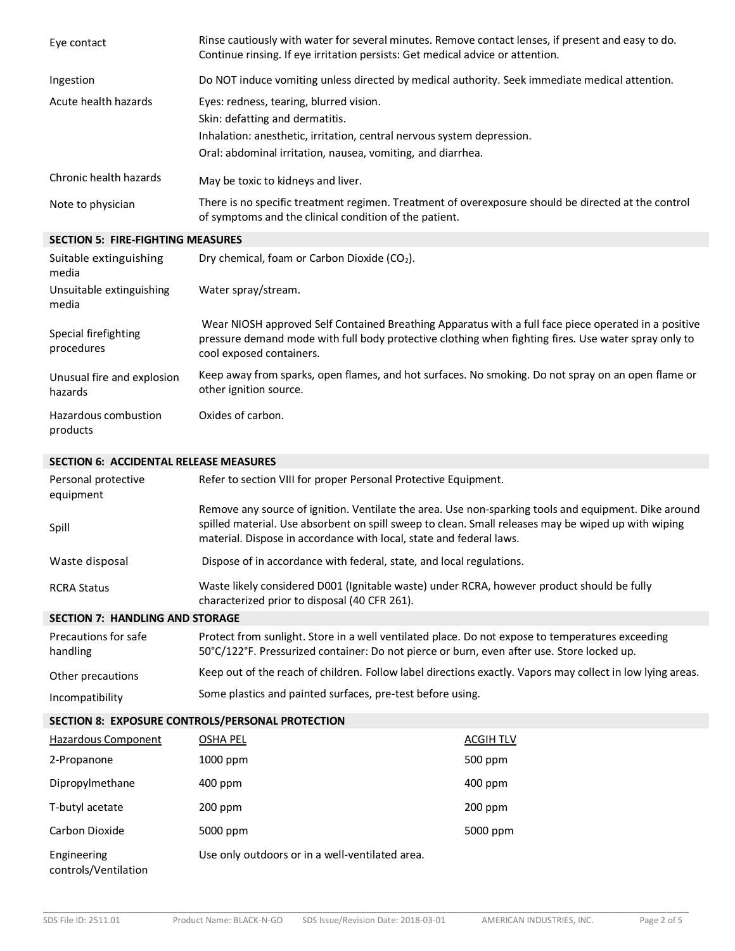| Eye contact                              | Rinse cautiously with water for several minutes. Remove contact lenses, if present and easy to do.<br>Continue rinsing. If eye irritation persists: Get medical advice or attention.                         |
|------------------------------------------|--------------------------------------------------------------------------------------------------------------------------------------------------------------------------------------------------------------|
| Ingestion                                | Do NOT induce vomiting unless directed by medical authority. Seek immediate medical attention.                                                                                                               |
| Acute health hazards                     | Eyes: redness, tearing, blurred vision.                                                                                                                                                                      |
|                                          | Skin: defatting and dermatitis.                                                                                                                                                                              |
|                                          | Inhalation: anesthetic, irritation, central nervous system depression.                                                                                                                                       |
|                                          | Oral: abdominal irritation, nausea, vomiting, and diarrhea.                                                                                                                                                  |
| Chronic health hazards                   | May be toxic to kidneys and liver.                                                                                                                                                                           |
| Note to physician                        | There is no specific treatment regimen. Treatment of overexposure should be directed at the control<br>of symptoms and the clinical condition of the patient.                                                |
| <b>SECTION 5: FIRE-FIGHTING MEASURES</b> |                                                                                                                                                                                                              |
| Suitable extinguishing<br>media          | Dry chemical, foam or Carbon Dioxide (CO <sub>2</sub> ).                                                                                                                                                     |
| Unsuitable extinguishing<br>media        | Water spray/stream.                                                                                                                                                                                          |
| Special firefighting                     | Wear NIOSH approved Self Contained Breathing Apparatus with a full face piece operated in a positive<br>pressure demand mode with full body protective clothing when fighting fires. Use water spray only to |

procedures cool exposed containers. Unusual fire and explosion hazards Keep away from sparks, open flames, and hot surfaces. No smoking. Do not spray on an open flame or other ignition source.

Hazardous combustion products Oxides of carbon.

## **SECTION 6: ACCIDENTAL RELEASE MEASURES**

| Personal protective<br>equipment       | Refer to section VIII for proper Personal Protective Equipment.                                                                                                                                                                                                                    |
|----------------------------------------|------------------------------------------------------------------------------------------------------------------------------------------------------------------------------------------------------------------------------------------------------------------------------------|
| Spill                                  | Remove any source of ignition. Ventilate the area. Use non-sparking tools and equipment. Dike around<br>spilled material. Use absorbent on spill sweep to clean. Small releases may be wiped up with wiping<br>material. Dispose in accordance with local, state and federal laws. |
| Waste disposal                         | Dispose of in accordance with federal, state, and local regulations.                                                                                                                                                                                                               |
| <b>RCRA Status</b>                     | Waste likely considered D001 (Ignitable waste) under RCRA, however product should be fully<br>characterized prior to disposal (40 CFR 261).                                                                                                                                        |
| <b>SECTION 7: HANDLING AND STORAGE</b> |                                                                                                                                                                                                                                                                                    |
| Precautions for safe                   | Protect from sunlight. Store in a well ventilated place. Do not expose to temperatures exceeding                                                                                                                                                                                   |

| Precautions for safe<br>handling | Protect from sunlight. Store in a well ventilated place. Do not expose to temperatures exceeding<br>50°C/122°F. Pressurized container: Do not pierce or burn, even after use. Store locked up. |
|----------------------------------|------------------------------------------------------------------------------------------------------------------------------------------------------------------------------------------------|
| Other precautions                | Keep out of the reach of children. Follow label directions exactly. Vapors may collect in low lying areas.                                                                                     |
| Incompatibility                  | Some plastics and painted surfaces, pre-test before using.                                                                                                                                     |

## **SECTION 8: EXPOSURE CONTROLS/PERSONAL PROTECTION**

| Hazardous Component                 | <b>OSHA PEL</b>                                 | ACGIH TLV |
|-------------------------------------|-------------------------------------------------|-----------|
| 2-Propanone                         | 1000 ppm                                        | 500 ppm   |
| Dipropylmethane                     | $400$ ppm                                       | 400 ppm   |
| T-butyl acetate                     | $200$ ppm                                       | $200$ ppm |
| Carbon Dioxide                      | 5000 ppm                                        | 5000 ppm  |
| Engineering<br>controls/Ventilation | Use only outdoors or in a well-ventilated area. |           |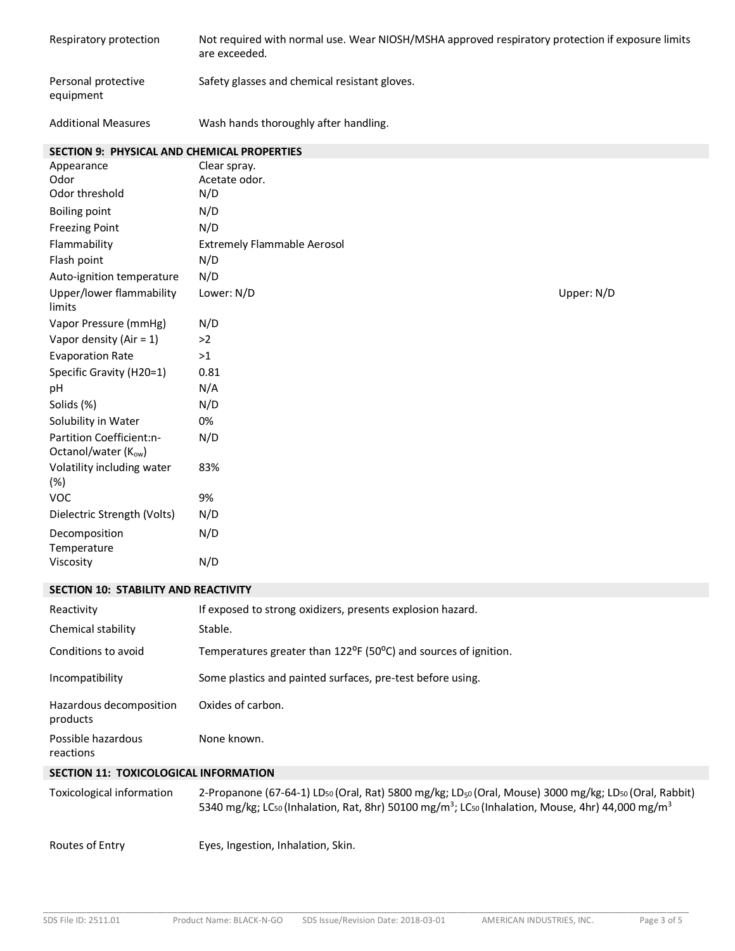| Respiratory protection                             | Not required with normal use. Wear NIOSH/MSHA approved respiratory protection if exposure limits<br>are exceeded. |            |
|----------------------------------------------------|-------------------------------------------------------------------------------------------------------------------|------------|
| Personal protective<br>equipment                   | Safety glasses and chemical resistant gloves.                                                                     |            |
| <b>Additional Measures</b>                         | Wash hands thoroughly after handling.                                                                             |            |
| <b>SECTION 9: PHYSICAL AND CHEMICAL PROPERTIES</b> |                                                                                                                   |            |
| Appearance                                         | Clear spray.                                                                                                      |            |
| Odor                                               | Acetate odor.                                                                                                     |            |
| Odor threshold                                     | N/D                                                                                                               |            |
| <b>Boiling point</b>                               | N/D                                                                                                               |            |
| <b>Freezing Point</b>                              | N/D                                                                                                               |            |
| Flammability                                       | <b>Extremely Flammable Aerosol</b>                                                                                |            |
| Flash point                                        | N/D                                                                                                               |            |
| Auto-ignition temperature                          | N/D                                                                                                               |            |
| Upper/lower flammability<br>limits                 | Lower: N/D                                                                                                        | Upper: N/D |
| Vapor Pressure (mmHg)                              | N/D                                                                                                               |            |
| Vapor density (Air = $1$ )                         | >2                                                                                                                |            |
| <b>Evaporation Rate</b>                            | >1                                                                                                                |            |
| Specific Gravity (H20=1)                           | 0.81                                                                                                              |            |
| pH                                                 | N/A                                                                                                               |            |
| Solids (%)                                         | N/D                                                                                                               |            |
| Solubility in Water                                | 0%                                                                                                                |            |
| Partition Coefficient:n-<br>Octanol/water (Kow)    | N/D                                                                                                               |            |
| Volatility including water<br>$(\%)$               | 83%                                                                                                               |            |
| <b>VOC</b>                                         | 9%                                                                                                                |            |
| Dielectric Strength (Volts)                        | N/D                                                                                                               |            |
| Decomposition<br>Temperature                       | N/D                                                                                                               |            |
| Viscosity                                          | N/D                                                                                                               |            |
| SECTION 10: STABILITY AND REACTIVITY               |                                                                                                                   |            |
| Reactivity                                         | If exposed to strong oxidizers, presents explosion hazard.                                                        |            |
| Chemical stability                                 | Stable.                                                                                                           |            |
| Conditions to avoid                                | Temperatures greater than 122 <sup>o</sup> F (50 <sup>o</sup> C) and sources of ignition.                         |            |
| Incompatibility                                    | Some plastics and painted surfaces, pre-test before using.                                                        |            |
| Hazardous decomposition<br>products                | Oxides of carbon.                                                                                                 |            |

Possible hazardous reactions None known.

## **SECTION 11: TOXICOLOGICAL INFORMATION**

| Toxicological information | 2-Propanone (67-64-1) LD <sub>50</sub> (Oral, Rat) 5800 mg/kg; LD <sub>50</sub> (Oral, Mouse) 3000 mg/kg; LD <sub>50</sub> (Oral, Rabbit)<br>5340 mg/kg; LC <sub>50</sub> (Inhalation, Rat, 8hr) 50100 mg/m <sup>3</sup> ; LC <sub>50</sub> (Inhalation, Mouse, 4hr) 44,000 mg/m <sup>3</sup> |
|---------------------------|-----------------------------------------------------------------------------------------------------------------------------------------------------------------------------------------------------------------------------------------------------------------------------------------------|
| Routes of Entry           | Eyes, Ingestion, Inhalation, Skin.                                                                                                                                                                                                                                                            |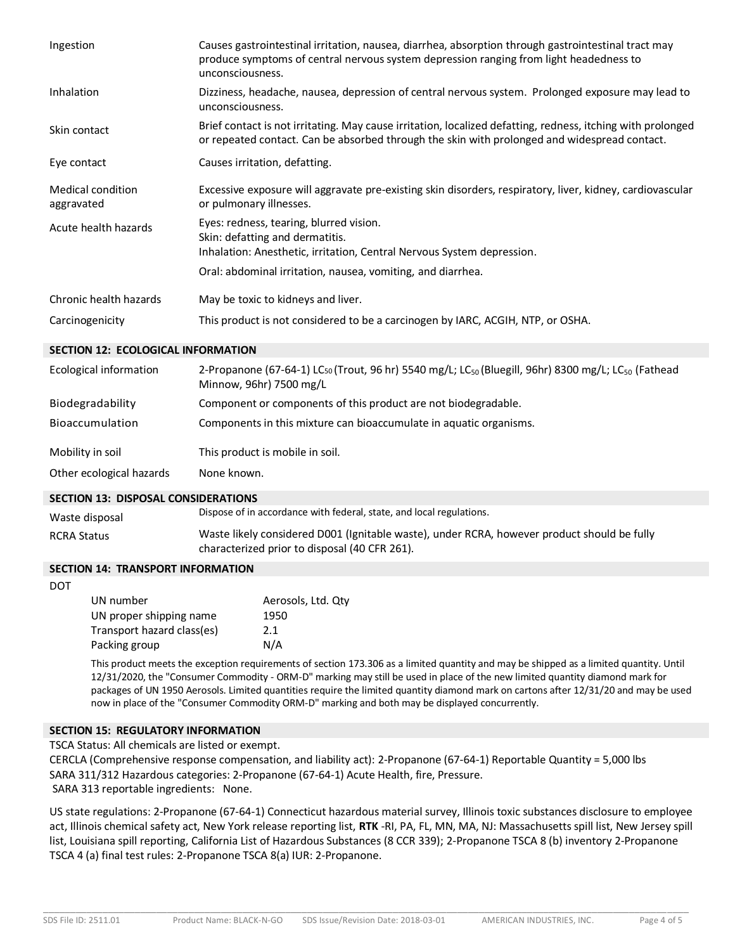| Ingestion                              | Causes gastrointestinal irritation, nausea, diarrhea, absorption through gastrointestinal tract may<br>produce symptoms of central nervous system depression ranging from light headedness to<br>unconsciousness. |
|----------------------------------------|-------------------------------------------------------------------------------------------------------------------------------------------------------------------------------------------------------------------|
| Inhalation                             | Dizziness, headache, nausea, depression of central nervous system. Prolonged exposure may lead to<br>unconsciousness.                                                                                             |
| Skin contact                           | Brief contact is not irritating. May cause irritation, localized defatting, redness, itching with prolonged<br>or repeated contact. Can be absorbed through the skin with prolonged and widespread contact.       |
| Eye contact                            | Causes irritation, defatting.                                                                                                                                                                                     |
| <b>Medical condition</b><br>aggravated | Excessive exposure will aggravate pre-existing skin disorders, respiratory, liver, kidney, cardiovascular<br>or pulmonary illnesses.                                                                              |
| Acute health hazards                   | Eyes: redness, tearing, blurred vision.<br>Skin: defatting and dermatitis.<br>Inhalation: Anesthetic, irritation, Central Nervous System depression.                                                              |
|                                        | Oral: abdominal irritation, nausea, vomiting, and diarrhea.                                                                                                                                                       |
| Chronic health hazards                 | May be toxic to kidneys and liver.                                                                                                                                                                                |
| Carcinogenicity                        | This product is not considered to be a carcinogen by IARC, ACGIH, NTP, or OSHA.                                                                                                                                   |

### **SECTION 12: ECOLOGICAL INFORMATION**

| Ecological information   | 2-Propanone (67-64-1) LCso (Trout, 96 hr) 5540 mg/L; LC <sub>so</sub> (Bluegill, 96hr) 8300 mg/L; LC <sub>so</sub> (Fathead<br>Minnow, 96hr) 7500 mg/L |
|--------------------------|--------------------------------------------------------------------------------------------------------------------------------------------------------|
| Biodegradability         | Component or components of this product are not biodegradable.                                                                                         |
| Bioaccumulation          | Components in this mixture can bioaccumulate in aquatic organisms.                                                                                     |
| Mobility in soil         | This product is mobile in soil.                                                                                                                        |
| Other ecological hazards | None known.                                                                                                                                            |

#### **SECTION 13: DISPOSAL CONSIDERATIONS**

| Waste disposal     | Dispose of in accordance with federal, state, and local regulations.                        |
|--------------------|---------------------------------------------------------------------------------------------|
| <b>RCRA Status</b> | Waste likely considered D001 (Ignitable waste), under RCRA, however product should be fully |
|                    | characterized prior to disposal (40 CFR 261).                                               |

#### **SECTION 14: TRANSPORT INFORMATION**

DOT

| UN number                  | Aerosols, Ltd. Qtv |
|----------------------------|--------------------|
| UN proper shipping name    | 1950               |
| Transport hazard class(es) | 2.1                |
| Packing group              | N/A                |

This product meets the exception requirements of section 173.306 as a limited quantity and may be shipped as a limited quantity. Until 12/31/2020, the "Consumer Commodity - ORM-D" marking may still be used in place of the new limited quantity diamond mark for packages of UN 1950 Aerosols. Limited quantities require the limited quantity diamond mark on cartons after 12/31/20 and may be used now in place of the "Consumer Commodity ORM-D" marking and both may be displayed concurrently.

#### **SECTION 15: REGULATORY INFORMATION**

TSCA Status: All chemicals are listed or exempt.

CERCLA (Comprehensive response compensation, and liability act): 2-Propanone (67-64-1) Reportable Quantity = 5,000 lbs SARA 311/312 Hazardous categories: 2-Propanone (67-64-1) Acute Health, fire, Pressure. SARA 313 reportable ingredients: None.

US state regulations: 2-Propanone (67-64-1) Connecticut hazardous material survey, Illinois toxic substances disclosure to employee act, Illinois chemical safety act, New York release reporting list, **RTK** -RI, PA, FL, MN, MA, NJ: Massachusetts spill list, New Jersey spill list, Louisiana spill reporting, California List of Hazardous Substances (8 CCR 339); 2-Propanone TSCA 8 (b) inventory 2-Propanone TSCA 4 (a) final test rules: 2-Propanone TSCA 8(a) IUR: 2-Propanone.

\_\_\_\_\_\_\_\_\_\_\_\_\_\_\_\_\_\_\_\_\_\_\_\_\_\_\_\_\_\_\_\_\_\_\_\_\_\_\_\_\_\_\_\_\_\_\_\_\_\_\_\_\_\_\_\_\_\_\_\_\_\_\_\_\_\_\_\_\_\_\_\_\_\_\_\_\_\_\_\_\_\_\_\_\_\_\_\_\_\_\_\_\_\_\_\_\_\_\_\_\_\_\_\_\_\_\_\_\_\_\_\_\_\_\_\_\_\_\_\_